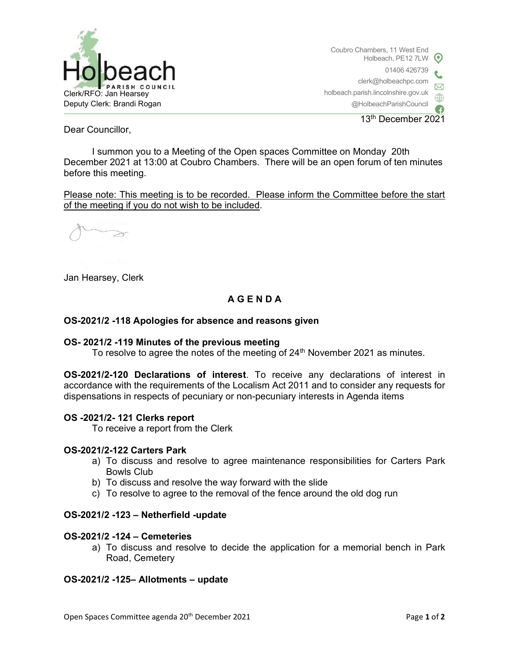

Coubro Chambers, 11 West End Holbeach, PE12 7LW 01406 426739 clerk@holbeachpc.com holbeach.parish.lincolnshire.gov.uk @HolbeachParishCouncil

13th December 2021

Dear Councillor,

I summon you to a Meeting of the Open spaces Committee on Monday 20th December 2021 at 13:00 at Coubro Chambers. There will be an open forum of ten minutes before this meeting.

Please note: This meeting is to be recorded. Please inform the Committee before the start of the meeting if you do not wish to be included.

≥

Jan Hearsey, Clerk

# A G E N D A

## OS-2021/2 -118 Apologies for absence and reasons given

### OS- 2021/2 -119 Minutes of the previous meeting

To resolve to agree the notes of the meeting of 24<sup>th</sup> November 2021 as minutes.

OS-2021/2-120 Declarations of interest. To receive any declarations of interest in accordance with the requirements of the Localism Act 2011 and to consider any requests for dispensations in respects of pecuniary or non-pecuniary interests in Agenda items

### OS -2021/2- 121 Clerks report

To receive a report from the Clerk

### OS-2021/2-122 Carters Park

- a) To discuss and resolve to agree maintenance responsibilities for Carters Park Bowls Club
- b) To discuss and resolve the way forward with the slide
- c) To resolve to agree to the removal of the fence around the old dog run

### OS-2021/2 -123 – Netherfield -update

### OS-2021/2 -124 – Cemeteries

a) To discuss and resolve to decide the application for a memorial bench in Park Road, Cemetery

### OS-2021/2 -125– Allotments – update